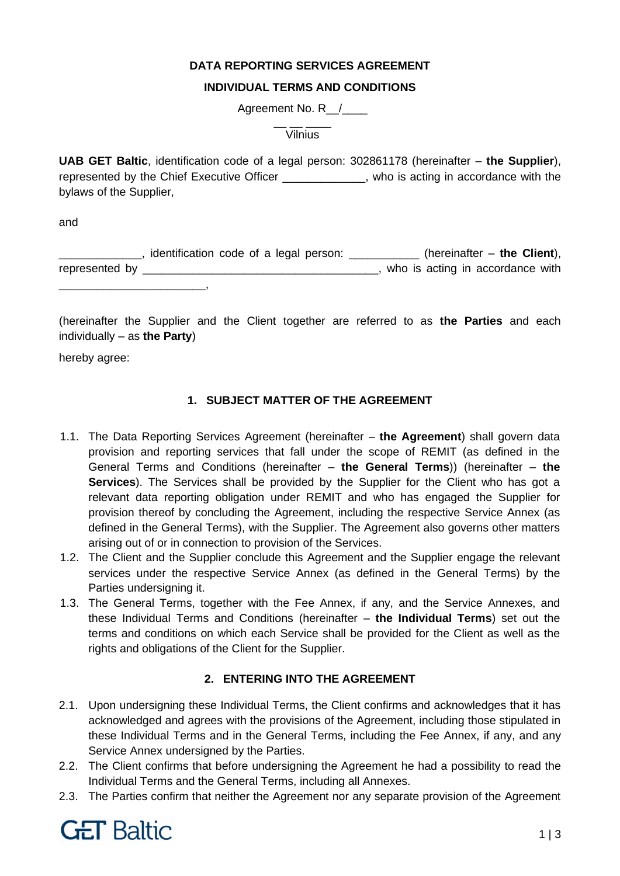## **DATA REPORTING SERVICES AGREEMENT**

#### **INDIVIDUAL TERMS AND CONDITIONS**

Agreement No. R<sub>\_/</sub>

\_\_<br>\_\_\_ \_\_\_ \_\_\_\_ Vilnius

**UAB GET Baltic**, identification code of a legal person: 302861178 (hereinafter – **the Supplier**), represented by the Chief Executive Officer **Fig. 1.4**, who is acting in accordance with the bylaws of the Supplier,

and

\_\_\_\_\_\_\_\_\_\_\_\_\_, identification code of a legal person: \_\_\_\_\_\_\_\_\_\_\_ (hereinafter – **the Client**), represented by \_\_\_\_\_\_\_\_\_\_\_\_\_\_\_\_\_\_\_\_\_\_\_\_\_\_\_\_\_\_\_\_\_\_\_\_\_, who is acting in accordance with \_\_\_\_\_\_\_\_\_\_\_\_\_\_\_\_\_\_\_\_\_\_\_,

(hereinafter the Supplier and the Client together are referred to as **the Parties** and each individually – as **the Party**)

hereby agree:

## **1. SUBJECT MATTER OF THE AGREEMENT**

- 1.1. The Data Reporting Services Agreement (hereinafter **the Agreement**) shall govern data provision and reporting services that fall under the scope of REMIT (as defined in the General Terms and Conditions (hereinafter – **the General Terms**)) (hereinafter – **the Services**). The Services shall be provided by the Supplier for the Client who has got a relevant data reporting obligation under REMIT and who has engaged the Supplier for provision thereof by concluding the Agreement, including the respective Service Annex (as defined in the General Terms), with the Supplier. The Agreement also governs other matters arising out of or in connection to provision of the Services.
- 1.2. The Client and the Supplier conclude this Agreement and the Supplier engage the relevant services under the respective Service Annex (as defined in the General Terms) by the Parties undersigning it.
- 1.3. The General Terms, together with the Fee Annex, if any, and the Service Annexes, and these Individual Terms and Conditions (hereinafter – **the Individual Terms**) set out the terms and conditions on which each Service shall be provided for the Client as well as the rights and obligations of the Client for the Supplier.

#### **2. ENTERING INTO THE AGREEMENT**

- 2.1. Upon undersigning these Individual Terms, the Client confirms and acknowledges that it has acknowledged and agrees with the provisions of the Agreement, including those stipulated in these Individual Terms and in the General Terms, including the Fee Annex, if any, and any Service Annex undersigned by the Parties.
- 2.2. The Client confirms that before undersigning the Agreement he had a possibility to read the Individual Terms and the General Terms, including all Annexes.
- 2.3. The Parties confirm that neither the Agreement nor any separate provision of the Agreement

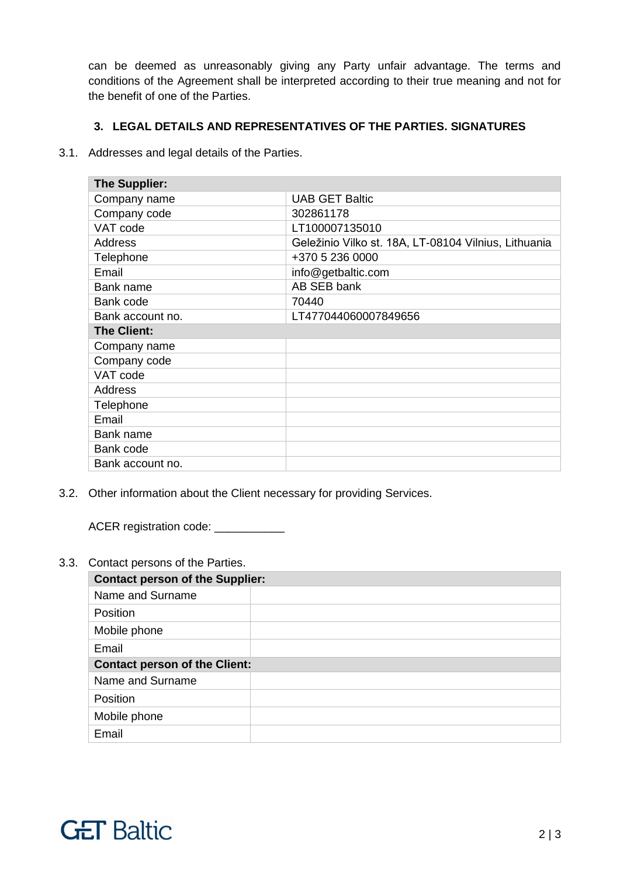can be deemed as unreasonably giving any Party unfair advantage. The terms and conditions of the Agreement shall be interpreted according to their true meaning and not for the benefit of one of the Parties.

# **3. LEGAL DETAILS AND REPRESENTATIVES OF THE PARTIES. SIGNATURES**

3.1. Addresses and legal details of the Parties.

| The Supplier:      |                                                      |
|--------------------|------------------------------------------------------|
| Company name       | <b>UAB GET Baltic</b>                                |
| Company code       | 302861178                                            |
| VAT code           | LT100007135010                                       |
| <b>Address</b>     | Geležinio Vilko st. 18A, LT-08104 Vilnius, Lithuania |
| Telephone          | +370 5 236 0000                                      |
| Email              | info@getbaltic.com                                   |
| Bank name          | AB SEB bank                                          |
| Bank code          | 70440                                                |
| Bank account no.   | LT477044060007849656                                 |
| <b>The Client:</b> |                                                      |
| Company name       |                                                      |
| Company code       |                                                      |
| VAT code           |                                                      |
| <b>Address</b>     |                                                      |
| Telephone          |                                                      |
| Email              |                                                      |
| Bank name          |                                                      |
| Bank code          |                                                      |
| Bank account no.   |                                                      |

3.2. Other information about the Client necessary for providing Services.

ACER registration code: \_\_\_\_\_\_\_\_\_\_\_\_

3.3. Contact persons of the Parties.

| <b>Contact person of the Supplier:</b> |  |
|----------------------------------------|--|
| Name and Surname                       |  |
| Position                               |  |
| Mobile phone                           |  |
| Email                                  |  |
| <b>Contact person of the Client:</b>   |  |
| Name and Surname                       |  |
| <b>Position</b>                        |  |
| Mobile phone                           |  |
| Email                                  |  |